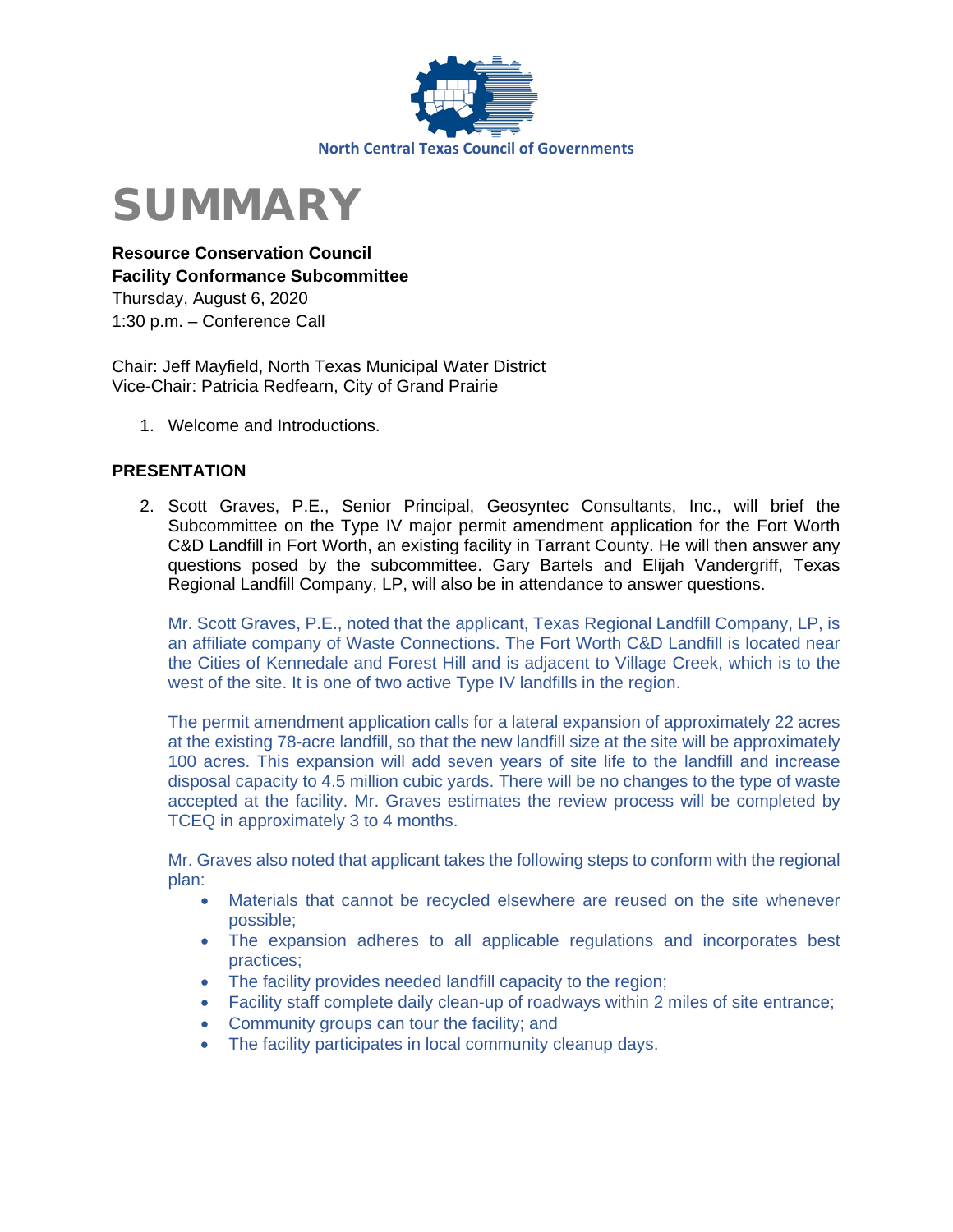



**Resource Conservation Council Facility Conformance Subcommittee**  Thursday, August 6, 2020 1:30 p.m. – Conference Call

Chair: Jeff Mayfield, North Texas Municipal Water District Vice-Chair: Patricia Redfearn, City of Grand Prairie

1. Welcome and Introductions.

### **PRESENTATION**

2. Scott Graves, P.E., Senior Principal, Geosyntec Consultants, Inc., will brief the Subcommittee on the Type IV major permit amendment application for the Fort Worth C&D Landfill in Fort Worth, an existing facility in Tarrant County. He will then answer any questions posed by the subcommittee. Gary Bartels and Elijah Vandergriff, Texas Regional Landfill Company, LP, will also be in attendance to answer questions.

Mr. Scott Graves, P.E., noted that the applicant, Texas Regional Landfill Company, LP, is an affiliate company of Waste Connections. The Fort Worth C&D Landfill is located near the Cities of Kennedale and Forest Hill and is adjacent to Village Creek, which is to the west of the site. It is one of two active Type IV landfills in the region.

The permit amendment application calls for a lateral expansion of approximately 22 acres at the existing 78-acre landfill, so that the new landfill size at the site will be approximately 100 acres. This expansion will add seven years of site life to the landfill and increase disposal capacity to 4.5 million cubic yards. There will be no changes to the type of waste accepted at the facility. Mr. Graves estimates the review process will be completed by TCEQ in approximately 3 to 4 months.

Mr. Graves also noted that applicant takes the following steps to conform with the regional plan:

- Materials that cannot be recycled elsewhere are reused on the site whenever possible;
- The expansion adheres to all applicable regulations and incorporates best practices;
- The facility provides needed landfill capacity to the region;
- Facility staff complete daily clean-up of roadways within 2 miles of site entrance;
- Community groups can tour the facility; and
- The facility participates in local community cleanup days.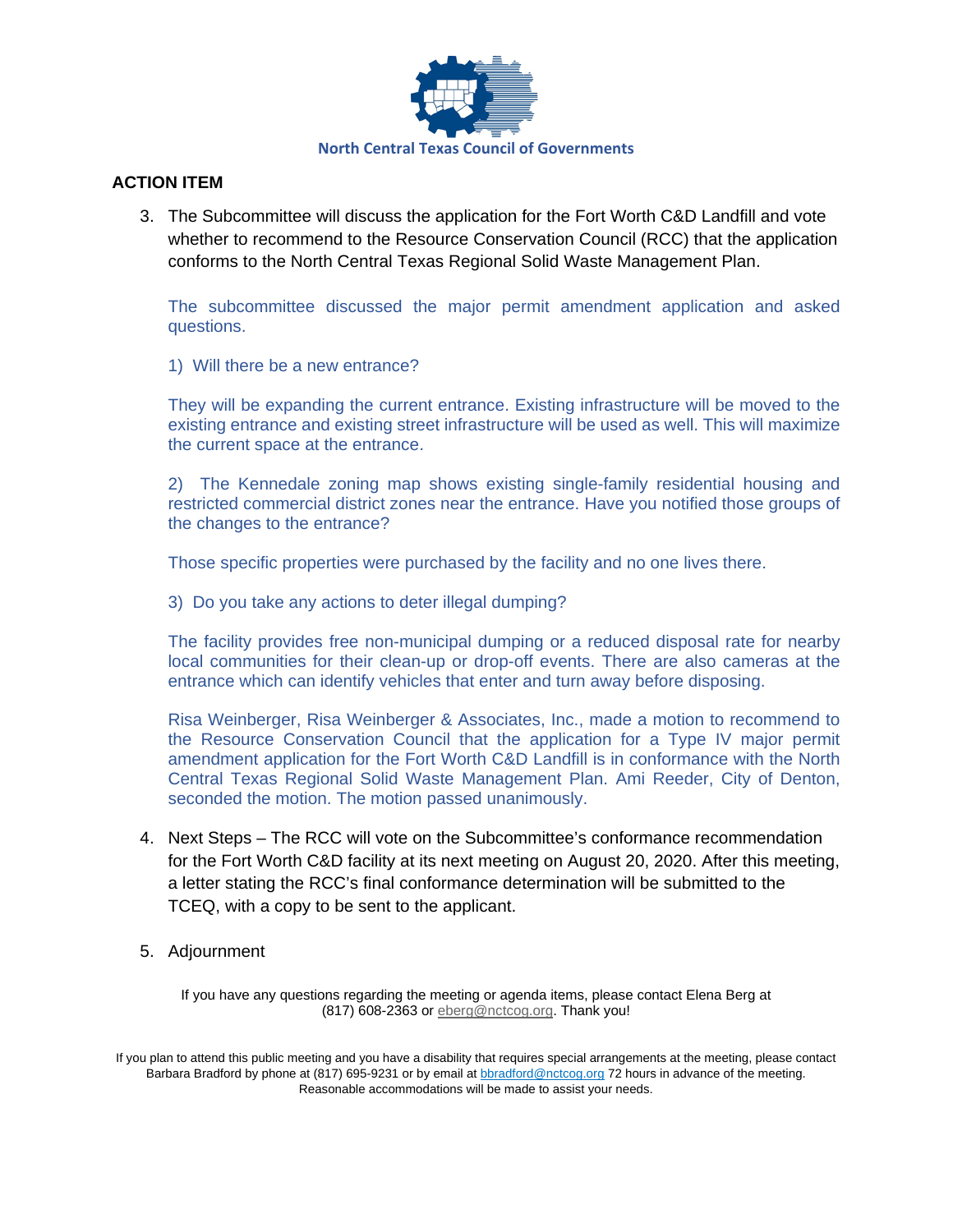

## **ACTION ITEM**

3. The Subcommittee will discuss the application for the Fort Worth C&D Landfill and vote whether to recommend to the Resource Conservation Council (RCC) that the application conforms to the North Central Texas Regional Solid Waste Management Plan.

The subcommittee discussed the major permit amendment application and asked questions.

1) Will there be a new entrance?

They will be expanding the current entrance. Existing infrastructure will be moved to the existing entrance and existing street infrastructure will be used as well. This will maximize the current space at the entrance.

2) The Kennedale zoning map shows existing single-family residential housing and restricted commercial district zones near the entrance. Have you notified those groups of the changes to the entrance?

Those specific properties were purchased by the facility and no one lives there.

3) Do you take any actions to deter illegal dumping?

The facility provides free non-municipal dumping or a reduced disposal rate for nearby local communities for their clean-up or drop-off events. There are also cameras at the entrance which can identify vehicles that enter and turn away before disposing.

Risa Weinberger, Risa Weinberger & Associates, Inc., made a motion to recommend to the Resource Conservation Council that the application for a Type IV major permit amendment application for the Fort Worth C&D Landfill is in conformance with the North Central Texas Regional Solid Waste Management Plan. Ami Reeder, City of Denton, seconded the motion. The motion passed unanimously.

- 4. Next Steps The RCC will vote on the Subcommittee's conformance recommendation for the Fort Worth C&D facility at its next meeting on August 20, 2020. After this meeting, a letter stating the RCC's final conformance determination will be submitted to the TCEQ, with a copy to be sent to the applicant.
- 5. Adjournment

If you have any questions regarding the meeting or agenda items, please contact Elena Berg at (817) 608-2363 or [eberg@nctcog.org.](mailto:eberg@nctcog.org) Thank you!

If you plan to attend this public meeting and you have a disability that requires special arrangements at the meeting, please contact Barbara Bradford by phone at (817) 695-9231 or by email at **bbradford@nctcog.org** 72 hours in advance of the meeting. Reasonable accommodations will be made to assist your needs.